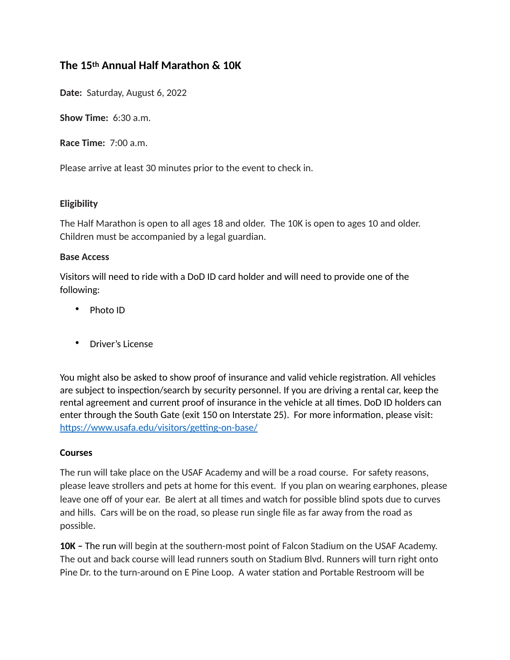# **The 15th Annual Half Marathon & 10K**

**Date:** Saturday, August 6, 2022

**Show Time:** 6:30 a.m.

**Race Time:** 7:00 a.m.

Please arrive at least 30 minutes prior to the event to check in.

## **Eligibility**

The Half Marathon is open to all ages 18 and older. The 10K is open to ages 10 and older. Children must be accompanied by a legal guardian.

#### **Base Access**

Visitors will need to ride with a DoD ID card holder and will need to provide one of the following:

- Photo ID
- Driver's License

You might also be asked to show proof of insurance and valid vehicle registration. All vehicles are subject to inspection/search by security personnel. If you are driving a rental car, keep the rental agreement and current proof of insurance in the vehicle at all times. DoD ID holders can enter through the South Gate (exit 150 on Interstate 25). For more information, please visit: <https://www.usafa.edu/visitors/getting-on-base/>

#### **Courses**

The run will take place on the USAF Academy and will be a road course. For safety reasons, please leave strollers and pets at home for this event. If you plan on wearing earphones, please leave one off of your ear. Be alert at all times and watch for possible blind spots due to curves and hills. Cars will be on the road, so please run single file as far away from the road as possible.

**10K –** The run will begin at the southern-most point of Falcon Stadium on the USAF Academy. The out and back course will lead runners south on Stadium Blvd. Runners will turn right onto Pine Dr. to the turn-around on E Pine Loop. A water station and Portable Restroom will be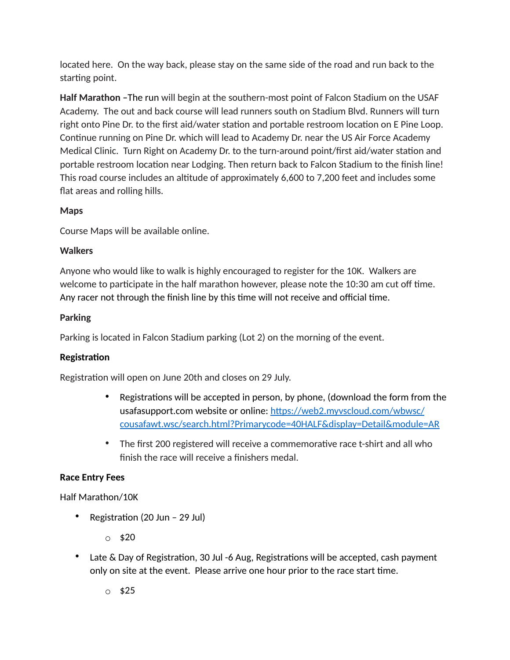located here. On the way back, please stay on the same side of the road and run back to the starting point.

**Half Marathon –**The run will begin at the southern-most point of Falcon Stadium on the USAF Academy. The out and back course will lead runners south on Stadium Blvd. Runners will turn right onto Pine Dr. to the first aid/water station and portable restroom location on E Pine Loop. Continue running on Pine Dr. which will lead to Academy Dr. near the US Air Force Academy Medical Clinic. Turn Right on Academy Dr. to the turn-around point/first aid/water station and portable restroom location near Lodging. Then return back to Falcon Stadium to the finish line! This road course includes an altitude of approximately 6,600 to 7,200 feet and includes some flat areas and rolling hills.

## **Maps**

Course Maps will be available online.

#### **Walkers**

Anyone who would like to walk is highly encouraged to register for the 10K. Walkers are welcome to participate in the half marathon however, please note the 10:30 am cut off time. Any racer not through the finish line by this time will not receive and official time.

#### **Parking**

Parking is located in Falcon Stadium parking (Lot 2) on the morning of the event.

## **Registration**

Registration will open on June 20th and closes on 29 July.

- Registrations will be accepted in person, by phone, (download the form from the usafasupport.com website or online: https://web2.myyscloud.com/wbwsc/ [cousafawt.wsc/search.html?Primarycode=40HALF&display=Detail&module=AR](https://web2.myvscloud.com/wbwsc/cousafawt.wsc/search.html?Primarycode=40HALF&display=Detail&module=AR)
- The first 200 registered will receive a commemorative race t-shirt and all who finish the race will receive a finishers medal.

## **Race Entry Fees**

Half Marathon/10K

- Registration (20 Jun 29 Jul)
	- $\circ$  \$20
- Late & Day of Registration, 30 Jul -6 Aug, Registrations will be accepted, cash payment only on site at the event. Please arrive one hour prior to the race start time.
	- o \$25